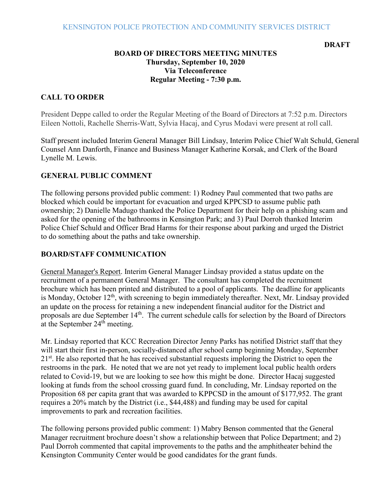**DRAFT**

## **BOARD OF DIRECTORS MEETING MINUTES Thursday, September 10, 2020 Via Teleconference Regular Meeting - 7:30 p.m.**

## **CALL TO ORDER**

President Deppe called to order the Regular Meeting of the Board of Directors at 7:52 p.m. Directors Eileen Nottoli, Rachelle Sherris-Watt, Sylvia Hacaj, and Cyrus Modavi were present at roll call.

Staff present included Interim General Manager Bill Lindsay, Interim Police Chief Walt Schuld, General Counsel Ann Danforth, Finance and Business Manager Katherine Korsak, and Clerk of the Board Lynelle M. Lewis.

#### **GENERAL PUBLIC COMMENT**

The following persons provided public comment: 1) Rodney Paul commented that two paths are blocked which could be important for evacuation and urged KPPCSD to assume public path ownership; 2) Danielle Madugo thanked the Police Department for their help on a phishing scam and asked for the opening of the bathrooms in Kensington Park; and 3) Paul Dorroh thanked Interim Police Chief Schuld and Officer Brad Harms for their response about parking and urged the District to do something about the paths and take ownership.

#### **BOARD/STAFF COMMUNICATION**

General Manager's Report. Interim General Manager Lindsay provided a status update on the recruitment of a permanent General Manager. The consultant has completed the recruitment brochure which has been printed and distributed to a pool of applicants. The deadline for applicants is Monday, October 12<sup>th</sup>, with screening to begin immediately thereafter. Next, Mr. Lindsay provided an update on the process for retaining a new independent financial auditor for the District and proposals are due September 14<sup>th</sup>. The current schedule calls for selection by the Board of Directors at the September 24<sup>th</sup> meeting.

Mr. Lindsay reported that KCC Recreation Director Jenny Parks has notified District staff that they will start their first in-person, socially-distanced after school camp beginning Monday, September 21<sup>st</sup>. He also reported that he has received substantial requests imploring the District to open the restrooms in the park. He noted that we are not yet ready to implement local public health orders related to Covid-19, but we are looking to see how this might be done. Director Hacaj suggested looking at funds from the school crossing guard fund. In concluding, Mr. Lindsay reported on the Proposition 68 per capita grant that was awarded to KPPCSD in the amount of \$177,952. The grant requires a 20% match by the District (i.e., \$44,488) and funding may be used for capital improvements to park and recreation facilities.

The following persons provided public comment: 1) Mabry Benson commented that the General Manager recruitment brochure doesn't show a relationship between that Police Department; and 2) Paul Dorroh commented that capital improvements to the paths and the amphitheater behind the Kensington Community Center would be good candidates for the grant funds.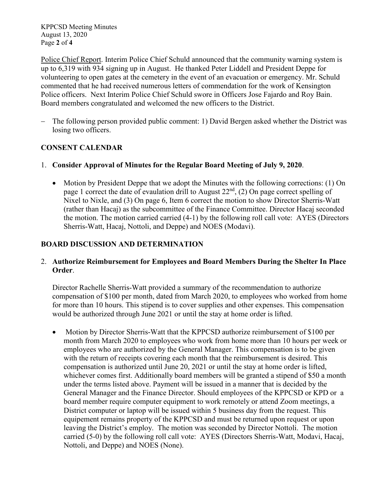KPPCSD Meeting Minutes August 13, 2020 Page **2** of **4**

Police Chief Report. Interim Police Chief Schuld announced that the community warning system is up to 6,319 with 934 signing up in August. He thanked Peter Liddell and President Deppe for volunteering to open gates at the cemetery in the event of an evacuation or emergency. Mr. Schuld commented that he had received numerous letters of commendation for the work of Kensington Police officers. Next Interim Police Chief Schuld swore in Officers Jose Fajardo and Roy Bain. Board members congratulated and welcomed the new officers to the District.

− The following person provided public comment: 1) David Bergen asked whether the District was losing two officers.

## **CONSENT CALENDAR**

- 1. **Consider Approval of Minutes for the Regular Board Meeting of July 9, 2020**.
	- Motion by President Deppe that we adopt the Minutes with the following corrections: (1) On page 1 correct the date of evaulation drill to August  $22<sup>nd</sup>$ , (2) On page correct spelling of Nixel to Nixle, and (3) On page 6, Item 6 correct the motion to show Director Sherris-Watt (rather than Hacaj) as the subcommittee of the Finance Committee. Director Hacaj seconded the motion. The motion carried carried (4-1) by the following roll call vote: AYES (Directors Sherris-Watt, Hacaj, Nottoli, and Deppe) and NOES (Modavi).

## **BOARD DISCUSSION AND DETERMINATION**

#### 2. **Authorize Reimbursement for Employees and Board Members During the Shelter In Place Order**.

Director Rachelle Sherris-Watt provided a summary of the recommendation to authorize compensation of \$100 per month, dated from March 2020, to employees who worked from home for more than 10 hours. This stipend is to cover supplies and other expenses. This compensation would be authorized through June 2021 or until the stay at home order is lifted.

• Motion by Director Sherris-Watt that the KPPCSD authorize reimbursement of \$100 per month from March 2020 to employees who work from home more than 10 hours per week or employees who are authorized by the General Manager. This compensation is to be given with the return of receipts covering each month that the reimbursement is desired. This compensation is authorized until June 20, 2021 or until the stay at home order is lifted, whichever comes first. Additionally board members will be granted a stipend of \$50 a month under the terms listed above. Payment will be issued in a manner that is decided by the General Manager and the Finance Director. Should employees of the KPPCSD or KPD or a board member require computer equipment to work remotely or attend Zoom meetings, a District computer or laptop will be issued within 5 business day from the request. This equipement remains property of the KPPCSD and must be returned upon request or upon leaving the District's employ. The motion was seconded by Director Nottoli. The motion carried (5-0) by the following roll call vote: AYES (Directors Sherris-Watt, Modavi, Hacaj, Nottoli, and Deppe) and NOES (None).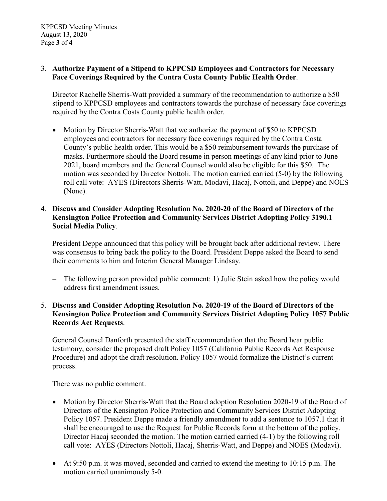### 3. **Authorize Payment of a Stipend to KPPCSD Employees and Contractors for Necessary Face Coverings Required by the Contra Costa County Public Health Order**.

Director Rachelle Sherris-Watt provided a summary of the recommendation to authorize a \$50 stipend to KPPCSD employees and contractors towards the purchase of necessary face coverings required by the Contra Costs County public health order.

• Motion by Director Sherris-Watt that we authorize the payment of \$50 to KPPCSD employees and contractors for necessary face coverings required by the Contra Costa County's public health order. This would be a \$50 reimbursement towards the purchase of masks. Furthermore should the Board resume in person meetings of any kind prior to June 2021, board members and the General Counsel would also be eligible for this \$50. The motion was seconded by Director Nottoli. The motion carried carried (5-0) by the following roll call vote: AYES (Directors Sherris-Watt, Modavi, Hacaj, Nottoli, and Deppe) and NOES (None).

## 4. **Discuss and Consider Adopting Resolution No. 2020-20 of the Board of Directors of the Kensington Police Protection and Community Services District Adopting Policy 3190.1 Social Media Policy**.

President Deppe announced that this policy will be brought back after additional review. There was consensus to bring back the policy to the Board. President Deppe asked the Board to send their comments to him and Interim General Manager Lindsay.

− The following person provided public comment: 1) Julie Stein asked how the policy would address first amendment issues.

## 5. **Discuss and Consider Adopting Resolution No. 2020-19 of the Board of Directors of the Kensington Police Protection and Community Services District Adopting Policy 1057 Public Records Act Requests**.

General Counsel Danforth presented the staff recommendation that the Board hear public testimony, consider the proposed draft Policy 1057 (California Public Records Act Response Procedure) and adopt the draft resolution. Policy 1057 would formalize the District's current process.

There was no public comment.

- Motion by Director Sherris-Watt that the Board adoption Resolution 2020-19 of the Board of Directors of the Kensington Police Protection and Community Services District Adopting Policy 1057. President Deppe made a friendly amendment to add a sentence to 1057.1 that it shall be encouraged to use the Request for Public Records form at the bottom of the policy. Director Hacaj seconded the motion. The motion carried carried (4-1) by the following roll call vote: AYES (Directors Nottoli, Hacaj, Sherris-Watt, and Deppe) and NOES (Modavi).
- At 9:50 p.m. it was moved, seconded and carried to extend the meeting to 10:15 p.m. The motion carried unanimously 5-0.